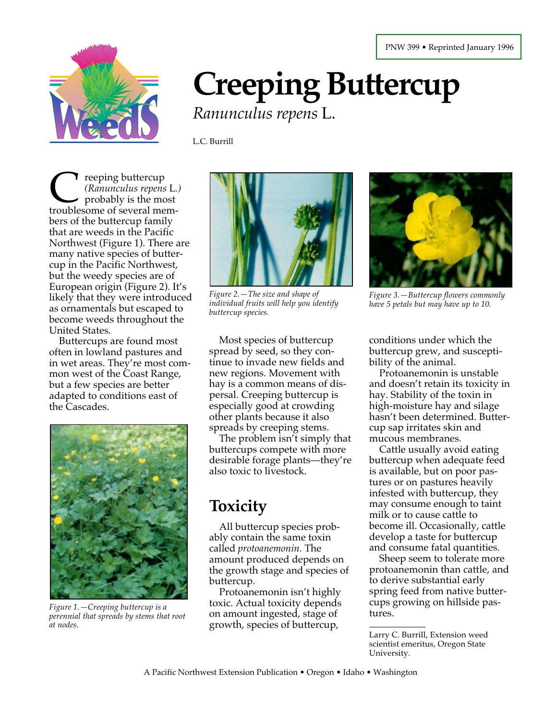

# **Creeping Buttercup** *Ranunculus repens* L.

L.C. Burrill

reeping buttercup *(Ranunculus repens* L*.)* probably is the most The eping buttercup<br>
(Ranunculus repens L.<br>
troublesome of several members of the buttercup family that are weeds in the Pacific Northwest (Figure 1). There are many native species of buttercup in the Pacific Northwest, but the weedy species are of European origin (Figure 2). It's likely that they were introduced as ornamentals but escaped to become weeds throughout the United States.

Buttercups are found most often in lowland pastures and in wet areas. They're most common west of the Coast Range, but a few species are better adapted to conditions east of the Cascades.



*Figure 1.—Creeping buttercup is a perennial that spreads by stems that root at nodes.*



*Figure 2.—The size and shape of individual fruits will help you identify buttercup species.*

Most species of buttercup spread by seed, so they continue to invade new fields and new regions. Movement with hay is a common means of dispersal. Creeping buttercup is especially good at crowding other plants because it also spreads by creeping stems.

The problem isn't simply that buttercups compete with more desirable forage plants—they're also toxic to livestock.

## **Toxicity**

All buttercup species probably contain the same toxin called *protoanemonin.* The amount produced depends on the growth stage and species of buttercup.

Protoanemonin isn't highly toxic. Actual toxicity depends on amount ingested, stage of growth, species of buttercup,



*Figure 3.—Buttercup flowers commonly have 5 petals but may have up to 10.*

conditions under which the buttercup grew, and susceptibility of the animal.

Protoanemonin is unstable and doesn't retain its toxicity in hay. Stability of the toxin in high-moisture hay and silage hasn't been determined. Buttercup sap irritates skin and mucous membranes.

Cattle usually avoid eating buttercup when adequate feed is available, but on poor pastures or on pastures heavily infested with buttercup, they may consume enough to taint milk or to cause cattle to become ill. Occasionally, cattle develop a taste for buttercup and consume fatal quantities.

Sheep seem to tolerate more protoanemonin than cattle, and to derive substantial early spring feed from native buttercups growing on hillside pastures.

Larry C. Burrill, Extension weed scientist emeritus, Oregon State University.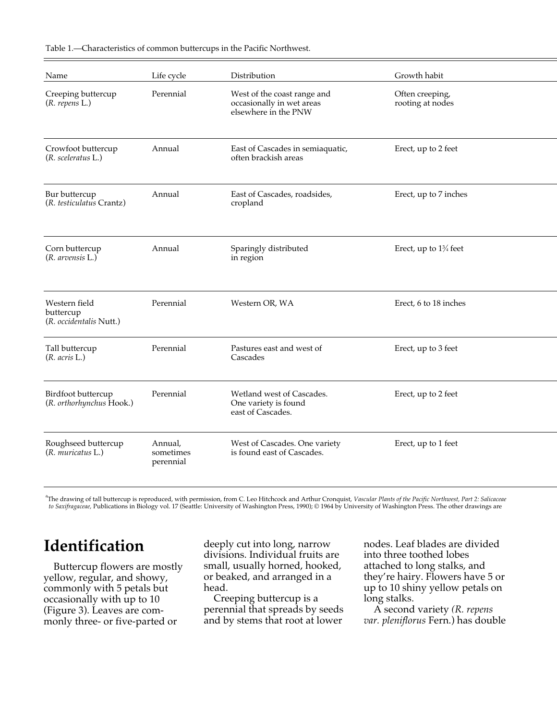| Name                                                  | Life cycle                        | Distribution                                                                     | Growth habit                        |
|-------------------------------------------------------|-----------------------------------|----------------------------------------------------------------------------------|-------------------------------------|
| Creeping buttercup<br>$(R.$ repens $L.)$              | Perennial                         | West of the coast range and<br>occasionally in wet areas<br>elsewhere in the PNW | Often creeping,<br>rooting at nodes |
| Crowfoot buttercup<br>$(R. \, sceleratus L.)$         | Annual                            | East of Cascades in semiaquatic,<br>often brackish areas                         | Erect, up to 2 feet                 |
| Bur buttercup<br>(R. testiculatus Crantz)             | Annual                            | East of Cascades, roadsides,<br>cropland                                         | Erect, up to 7 inches               |
| Corn buttercup<br>$(R.$ arvensis $L.)$                | Annual                            | Sparingly distributed<br>in region                                               | Erect, up to $1\frac{3}{4}$ feet    |
| Western field<br>buttercup<br>(R. occidentalis Nutt.) | Perennial                         | Western OR, WA                                                                   | Erect, 6 to 18 inches               |
| Tall buttercup<br>$(R. \text{ acris L.)$              | Perennial                         | Pastures east and west of<br>Cascades                                            | Erect, up to 3 feet                 |
| Birdfoot buttercup<br>(R. orthorhynchus Hook.)        | Perennial                         | Wetland west of Cascades.<br>One variety is found<br>east of Cascades.           | Erect, up to 2 feet                 |
| Roughseed buttercup<br>(R. muricatus L.)              | Annual,<br>sometimes<br>perennial | West of Cascades. One variety<br>is found east of Cascades.                      | Erect, up to 1 feet                 |

Table 1.—Characteristics of common buttercups in the Pacific Northwest.

<sup>a</sup>The drawing of tall buttercup is reproduced, with permission, from C. Leo Hitchcock and Arthur Cronquist, *Vascular Plants of the Pacific Northwest*, Part 2: Salicaceae  *to Saxifragaceae,* Publications in Biology vol. 17 (Seattle: University of Washington Press, 1990); © 1964 by University of Washington Press. The other drawings are

#### **Identification**

Buttercup flowers are mostly yellow, regular, and showy, commonly with 5 petals but occasionally with up to 10 (Figure 3). Leaves are commonly three- or five-parted or

deeply cut into long, narrow divisions. Individual fruits are small, usually horned, hooked, or beaked, and arranged in a head.

Creeping buttercup is a perennial that spreads by seeds and by stems that root at lower

nodes. Leaf blades are divided into three toothed lobes attached to long stalks, and they're hairy. Flowers have 5 or up to 10 shiny yellow petals on long stalks.

A second variety *(R. repens var. pleniflorus* Fern.) has double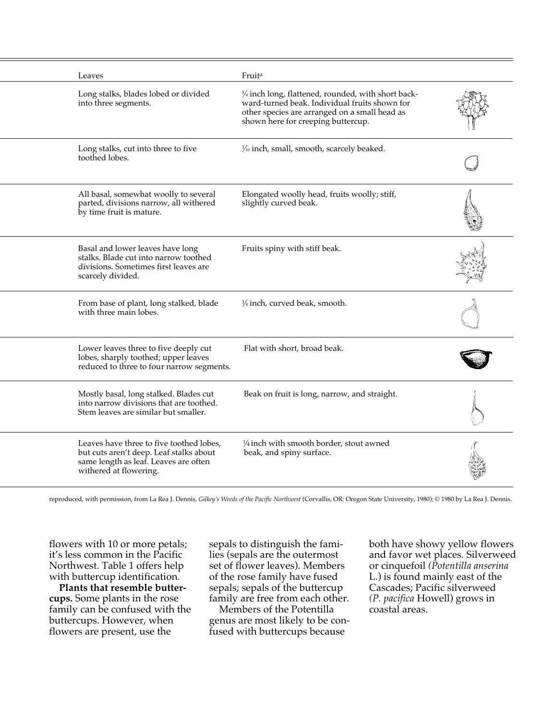| Leaves                                                                                                                                                 | Fruit <sup>a</sup>                                                                                                                                                                                      |  |
|--------------------------------------------------------------------------------------------------------------------------------------------------------|---------------------------------------------------------------------------------------------------------------------------------------------------------------------------------------------------------|--|
| Long stalks, blades lobed or divided<br>into three segments.                                                                                           | 1/ <sub>8</sub> inch long, flattened, rounded, with short back-<br>ward-turned beak. Individual fruits shown for<br>other species are arranged on a small head as<br>shown here for creeping buttercup. |  |
| Long stalks, cut into three to five<br>toothed lobes.                                                                                                  | 1/10 inch, small, smooth, scarcely beaked.                                                                                                                                                              |  |
| All basal, somewhat woolly to several<br>parted, divisions narrow, all withered<br>by time fruit is mature.                                            | Elongated woolly head, fruits woolly; stiff,<br>slightly curved beak.                                                                                                                                   |  |
| Basal and lower leaves have long<br>stalks. Blade cut into narrow toothed<br>divisions. Sometimes first leaves are<br>scarcely divided.                | Fruits spiny with stiff beak.                                                                                                                                                                           |  |
| From base of plant, long stalked, blade<br>with three main lobes.                                                                                      | 1/ <sub>8</sub> inch, curved beak, smooth.                                                                                                                                                              |  |
| Lower leaves three to five deeply cut<br>lobes, sharply toothed; upper leaves<br>reduced to three to four narrow segments.                             | Flat with short, broad beak.                                                                                                                                                                            |  |
| Mostly basal, long stalked. Blades cut<br>into narrow divisions that are toothed.<br>Stem leaves are similar but smaller.                              | Beak on fruit is long, narrow, and straight.                                                                                                                                                            |  |
| Leaves have three to five toothed lobes,<br>but cuts aren't deep. Leaf stalks about<br>same length as leaf. Leaves are often<br>withered at flowering. | $\frac{1}{4}$ inch with smooth border, stout awned<br>beak, and spiny surface.                                                                                                                          |  |

reproduced, with permission, from La Rea J. Dennis, *Gilkey's Weeds of the Pacific Northwest* (Corvallis, OR: Oregon State University, 1980); © 1980 by La Rea J. Dennis.

flowers with 10 or more petals; it's less common in the Pacific Northwest. Table 1 offers help with buttercup identification.

**Plants that resemble buttercups.** Some plants in the rose family can be confused with the buttercups. However, when flowers are present, use the

sepals to distinguish the families (sepals are the outermost set of flower leaves). Members of the rose family have fused sepals; sepals of the buttercup family are free from each other.

Members of the Potentilla genus are most likely to be confused with buttercups because

both have showy yellow flowers and favor wet places. Silverweed or cinquefoil *(Potentilla anserina* L.) is found mainly east of the Cascades; Pacific silverweed *(P. pacifica* Howell) grows in coastal areas.